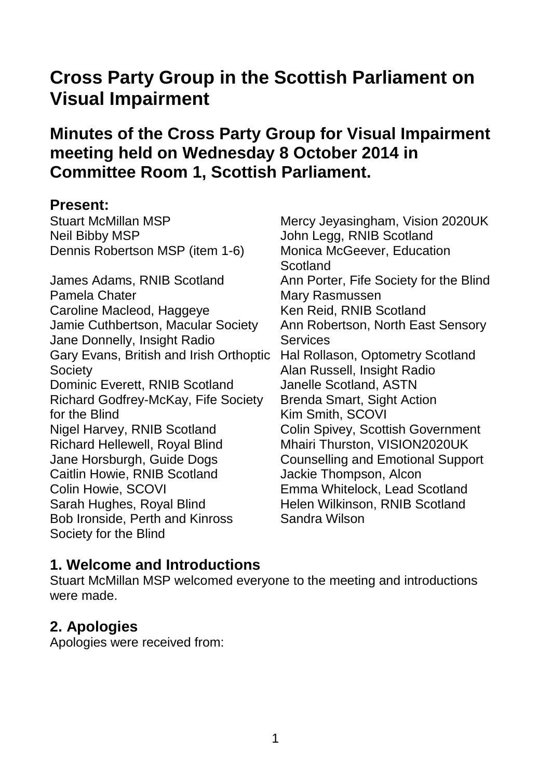# **Cross Party Group in the Scottish Parliament on Visual Impairment**

# **Minutes of the Cross Party Group for Visual Impairment meeting held on Wednesday 8 October 2014 in Committee Room 1, Scottish Parliament.**

#### **Present:**

Stuart McMillan MSP Neil Bibby MSP Dennis Robertson MSP (item 1-6)

James Adams, RNIB Scotland Pamela Chater Caroline Macleod, Haggeye Jamie Cuthbertson, Macular Society Jane Donnelly, Insight Radio Gary Evans, British and Irish Orthoptic **Society** Dominic Everett, RNIB Scotland Richard Godfrey-McKay, Fife Society for the Blind Nigel Harvey, RNIB Scotland Richard Hellewell, Royal Blind Jane Horsburgh, Guide Dogs Caitlin Howie, RNIB Scotland Colin Howie, SCOVI Sarah Hughes, Royal Blind Bob Ironside, Perth and Kinross Society for the Blind

Mercy Jeyasingham, Vision 2020UK John Legg, RNIB Scotland Monica McGeever, Education **Scotland** Ann Porter, Fife Society for the Blind Mary Rasmussen Ken Reid, RNIB Scotland Ann Robertson, North East Sensory **Services** Hal Rollason, Optometry Scotland Alan Russell, Insight Radio Janelle Scotland, ASTN Brenda Smart, Sight Action Kim Smith, SCOVI Colin Spivey, Scottish Government Mhairi Thurston, VISION2020UK Counselling and Emotional Support Jackie Thompson, Alcon Emma Whitelock, Lead Scotland Helen Wilkinson, RNIB Scotland Sandra Wilson

## **1. Welcome and Introductions**

Stuart McMillan MSP welcomed everyone to the meeting and introductions were made.

## **2. Apologies**

Apologies were received from: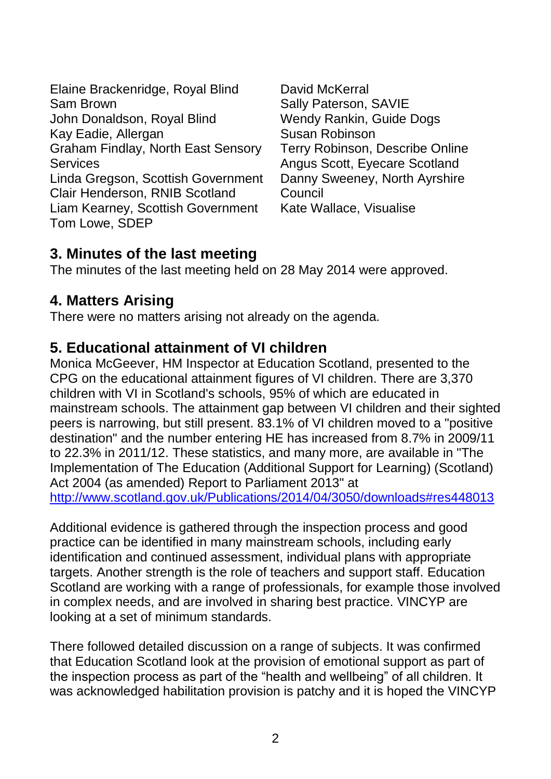Elaine Brackenridge, Royal Blind Sam Brown John Donaldson, Royal Blind Kay Eadie, Allergan Graham Findlay, North East Sensory **Services** Linda Gregson, Scottish Government Clair Henderson, RNIB Scotland Liam Kearney, Scottish Government Tom Lowe, SDEP

David McKerral Sally Paterson, SAVIE Wendy Rankin, Guide Dogs Susan Robinson Terry Robinson, Describe Online Angus Scott, Eyecare Scotland Danny Sweeney, North Ayrshire **Council** Kate Wallace, Visualise

## **3. Minutes of the last meeting**

The minutes of the last meeting held on 28 May 2014 were approved.

## **4. Matters Arising**

There were no matters arising not already on the agenda.

## **5. Educational attainment of VI children**

Monica McGeever, HM Inspector at Education Scotland, presented to the CPG on the educational attainment figures of VI children. There are 3,370 children with VI in Scotland's schools, 95% of which are educated in mainstream schools. The attainment gap between VI children and their sighted peers is narrowing, but still present. 83.1% of VI children moved to a "positive destination" and the number entering HE has increased from 8.7% in 2009/11 to 22.3% in 2011/12. These statistics, and many more, are available in "The Implementation of The Education (Additional Support for Learning) (Scotland) Act 2004 (as amended) Report to Parliament 2013" at <http://www.scotland.gov.uk/Publications/2014/04/3050/downloads#res448013>

Additional evidence is gathered through the inspection process and good practice can be identified in many mainstream schools, including early identification and continued assessment, individual plans with appropriate targets. Another strength is the role of teachers and support staff. Education Scotland are working with a range of professionals, for example those involved in complex needs, and are involved in sharing best practice. VINCYP are looking at a set of minimum standards.

There followed detailed discussion on a range of subjects. It was confirmed that Education Scotland look at the provision of emotional support as part of the inspection process as part of the "health and wellbeing" of all children. It was acknowledged habilitation provision is patchy and it is hoped the VINCYP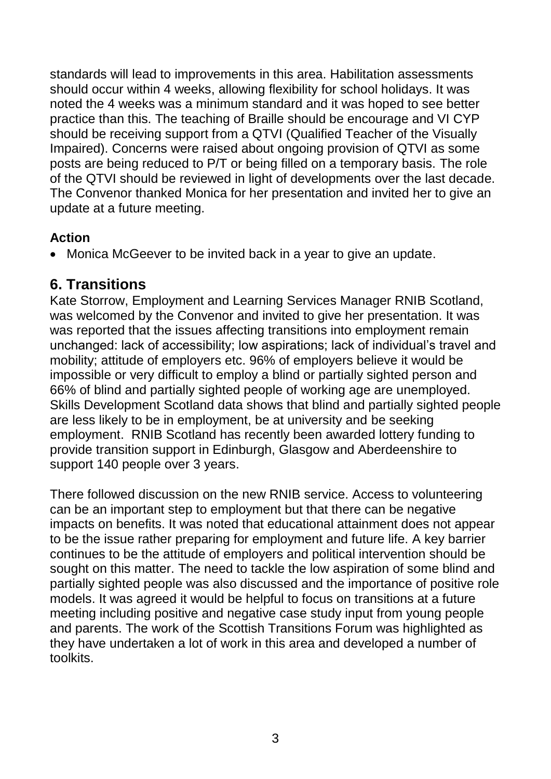standards will lead to improvements in this area. Habilitation assessments should occur within 4 weeks, allowing flexibility for school holidays. It was noted the 4 weeks was a minimum standard and it was hoped to see better practice than this. The teaching of Braille should be encourage and VI CYP should be receiving support from a QTVI (Qualified Teacher of the Visually Impaired). Concerns were raised about ongoing provision of QTVI as some posts are being reduced to P/T or being filled on a temporary basis. The role of the QTVI should be reviewed in light of developments over the last decade. The Convenor thanked Monica for her presentation and invited her to give an update at a future meeting.

#### **Action**

Monica McGeever to be invited back in a year to give an update.

#### **6. Transitions**

Kate Storrow, Employment and Learning Services Manager RNIB Scotland, was welcomed by the Convenor and invited to give her presentation. It was was reported that the issues affecting transitions into employment remain unchanged: lack of accessibility; low aspirations; lack of individual's travel and mobility; attitude of employers etc. 96% of employers believe it would be impossible or very difficult to employ a blind or partially sighted person and 66% of blind and partially sighted people of working age are unemployed. Skills Development Scotland data shows that blind and partially sighted people are less likely to be in employment, be at university and be seeking employment. RNIB Scotland has recently been awarded lottery funding to provide transition support in Edinburgh, Glasgow and Aberdeenshire to support 140 people over 3 years.

There followed discussion on the new RNIB service. Access to volunteering can be an important step to employment but that there can be negative impacts on benefits. It was noted that educational attainment does not appear to be the issue rather preparing for employment and future life. A key barrier continues to be the attitude of employers and political intervention should be sought on this matter. The need to tackle the low aspiration of some blind and partially sighted people was also discussed and the importance of positive role models. It was agreed it would be helpful to focus on transitions at a future meeting including positive and negative case study input from young people and parents. The work of the Scottish Transitions Forum was highlighted as they have undertaken a lot of work in this area and developed a number of toolkits.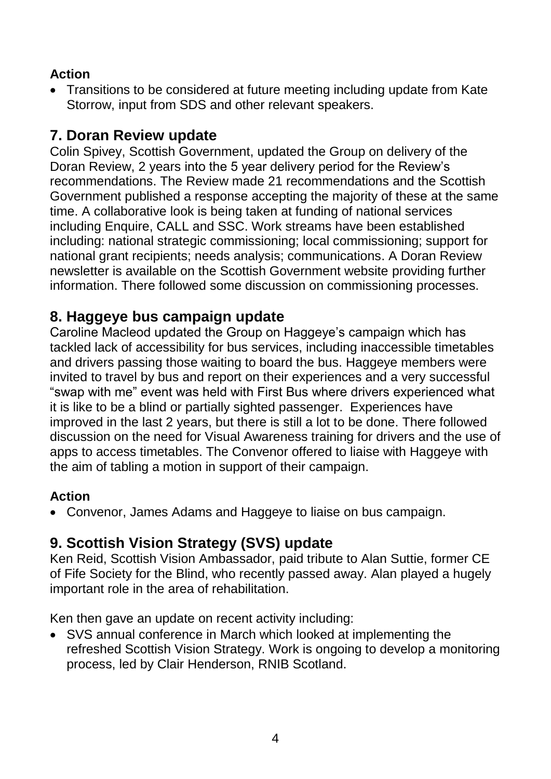#### **Action**

 Transitions to be considered at future meeting including update from Kate Storrow, input from SDS and other relevant speakers.

## **7. Doran Review update**

Colin Spivey, Scottish Government, updated the Group on delivery of the Doran Review, 2 years into the 5 year delivery period for the Review's recommendations. The Review made 21 recommendations and the Scottish Government published a response accepting the majority of these at the same time. A collaborative look is being taken at funding of national services including Enquire, CALL and SSC. Work streams have been established including: national strategic commissioning; local commissioning; support for national grant recipients; needs analysis; communications. A Doran Review newsletter is available on the Scottish Government website providing further information. There followed some discussion on commissioning processes.

## **8. Haggeye bus campaign update**

Caroline Macleod updated the Group on Haggeye's campaign which has tackled lack of accessibility for bus services, including inaccessible timetables and drivers passing those waiting to board the bus. Haggeye members were invited to travel by bus and report on their experiences and a very successful "swap with me" event was held with First Bus where drivers experienced what it is like to be a blind or partially sighted passenger. Experiences have improved in the last 2 years, but there is still a lot to be done. There followed discussion on the need for Visual Awareness training for drivers and the use of apps to access timetables. The Convenor offered to liaise with Haggeye with the aim of tabling a motion in support of their campaign.

#### **Action**

Convenor, James Adams and Haggeye to liaise on bus campaign.

# **9. Scottish Vision Strategy (SVS) update**

Ken Reid, Scottish Vision Ambassador, paid tribute to Alan Suttie, former CE of Fife Society for the Blind, who recently passed away. Alan played a hugely important role in the area of rehabilitation.

Ken then gave an update on recent activity including:

 SVS annual conference in March which looked at implementing the refreshed Scottish Vision Strategy. Work is ongoing to develop a monitoring process, led by Clair Henderson, RNIB Scotland.